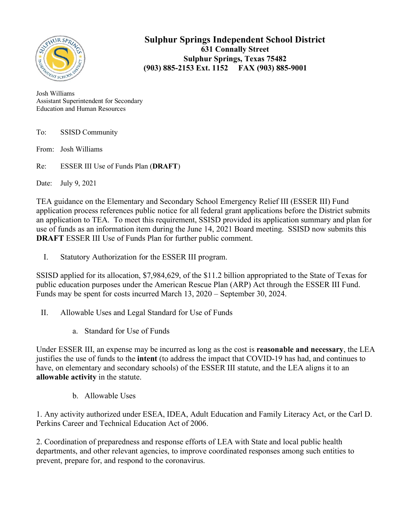

**Sulphur Springs Independent School District 631 Connally Street Sulphur Springs, Texas 75482 (903) 885-2153 Ext. 1152 FAX (903) 885-9001**

Josh Williams Assistant Superintendent for Secondary Education and Human Resources

| To: | <b>SSISD Community</b> |  |
|-----|------------------------|--|
|     |                        |  |

From: Josh Williams

Re: ESSER III Use of Funds Plan (**DRAFT**)

Date: July 9, 2021

TEA guidance on the Elementary and Secondary School Emergency Relief III (ESSER III) Fund application process references public notice for all federal grant applications before the District submits an application to TEA. To meet this requirement, SSISD provided its application summary and plan for use of funds as an information item during the June 14, 2021 Board meeting. SSISD now submits this **DRAFT** ESSER III Use of Funds Plan for further public comment.

I. Statutory Authorization for the ESSER III program.

SSISD applied for its allocation, \$7,984,629, of the \$11.2 billion appropriated to the State of Texas for public education purposes under the American Rescue Plan (ARP) Act through the ESSER III Fund. Funds may be spent for costs incurred March 13, 2020 – September 30, 2024.

- II. Allowable Uses and Legal Standard for Use of Funds
	- a. Standard for Use of Funds

Under ESSER III, an expense may be incurred as long as the cost is **reasonable and necessary**, the LEA justifies the use of funds to the **intent** (to address the impact that COVID-19 has had, and continues to have, on elementary and secondary schools) of the ESSER III statute, and the LEA aligns it to an **allowable activity** in the statute.

b. Allowable Uses

1. Any activity authorized under ESEA, IDEA, Adult Education and Family Literacy Act, or the Carl D. Perkins Career and Technical Education Act of 2006.

2. Coordination of preparedness and response efforts of LEA with State and local public health departments, and other relevant agencies, to improve coordinated responses among such entities to prevent, prepare for, and respond to the coronavirus.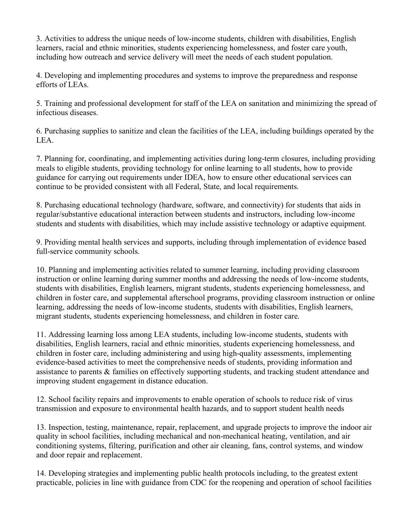3. Activities to address the unique needs of low-income students, children with disabilities, English learners, racial and ethnic minorities, students experiencing homelessness, and foster care youth, including how outreach and service delivery will meet the needs of each student population.

4. Developing and implementing procedures and systems to improve the preparedness and response efforts of LEAs.

5. Training and professional development for staff of the LEA on sanitation and minimizing the spread of infectious diseases.

6. Purchasing supplies to sanitize and clean the facilities of the LEA, including buildings operated by the LEA.

7. Planning for, coordinating, and implementing activities during long-term closures, including providing meals to eligible students, providing technology for online learning to all students, how to provide guidance for carrying out requirements under IDEA, how to ensure other educational services can continue to be provided consistent with all Federal, State, and local requirements.

8. Purchasing educational technology (hardware, software, and connectivity) for students that aids in regular/substantive educational interaction between students and instructors, including low-income students and students with disabilities, which may include assistive technology or adaptive equipment.

9. Providing mental health services and supports, including through implementation of evidence based full-service community schools.

10. Planning and implementing activities related to summer learning, including providing classroom instruction or online learning during summer months and addressing the needs of low-income students, students with disabilities, English learners, migrant students, students experiencing homelessness, and children in foster care, and supplemental afterschool programs, providing classroom instruction or online learning, addressing the needs of low-income students, students with disabilities, English learners, migrant students, students experiencing homelessness, and children in foster care.

11. Addressing learning loss among LEA students, including low-income students, students with disabilities, English learners, racial and ethnic minorities, students experiencing homelessness, and children in foster care, including administering and using high-quality assessments, implementing evidence-based activities to meet the comprehensive needs of students, providing information and assistance to parents & families on effectively supporting students, and tracking student attendance and improving student engagement in distance education.

12. School facility repairs and improvements to enable operation of schools to reduce risk of virus transmission and exposure to environmental health hazards, and to support student health needs

13. Inspection, testing, maintenance, repair, replacement, and upgrade projects to improve the indoor air quality in school facilities, including mechanical and non-mechanical heating, ventilation, and air conditioning systems, filtering, purification and other air cleaning, fans, control systems, and window and door repair and replacement.

14. Developing strategies and implementing public health protocols including, to the greatest extent practicable, policies in line with guidance from CDC for the reopening and operation of school facilities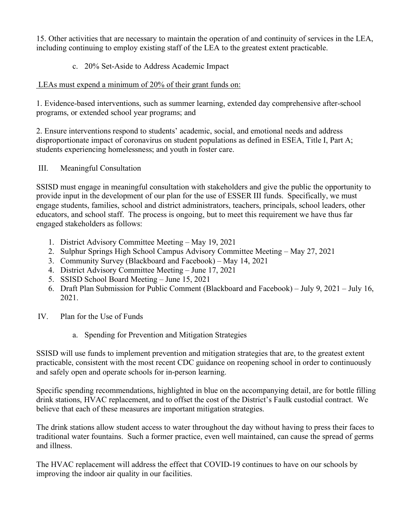15. Other activities that are necessary to maintain the operation of and continuity of services in the LEA, including continuing to employ existing staff of the LEA to the greatest extent practicable.

c. 20% Set-Aside to Address Academic Impact

## LEAs must expend a minimum of 20% of their grant funds on:

1. Evidence-based interventions, such as summer learning, extended day comprehensive after-school programs, or extended school year programs; and

2. Ensure interventions respond to students' academic, social, and emotional needs and address disproportionate impact of coronavirus on student populations as defined in ESEA, Title I, Part A; students experiencing homelessness; and youth in foster care.

## III. Meaningful Consultation

SSISD must engage in meaningful consultation with stakeholders and give the public the opportunity to provide input in the development of our plan for the use of ESSER III funds. Specifically, we must engage students, families, school and district administrators, teachers, principals, school leaders, other educators, and school staff. The process is ongoing, but to meet this requirement we have thus far engaged stakeholders as follows:

- 1. District Advisory Committee Meeting May 19, 2021
- 2. Sulphur Springs High School Campus Advisory Committee Meeting May 27, 2021
- 3. Community Survey (Blackboard and Facebook) May 14, 2021
- 4. District Advisory Committee Meeting June 17, 2021
- 5. SSISD School Board Meeting June 15, 2021
- 6. Draft Plan Submission for Public Comment (Blackboard and Facebook) July 9, 2021 July 16, 2021.
- IV. Plan for the Use of Funds
	- a. Spending for Prevention and Mitigation Strategies

SSISD will use funds to implement prevention and mitigation strategies that are, to the greatest extent practicable, consistent with the most recent CDC guidance on reopening school in order to continuously and safely open and operate schools for in-person learning.

Specific spending recommendations, highlighted in blue on the accompanying detail, are for bottle filling drink stations, HVAC replacement, and to offset the cost of the District's Faulk custodial contract. We believe that each of these measures are important mitigation strategies.

The drink stations allow student access to water throughout the day without having to press their faces to traditional water fountains. Such a former practice, even well maintained, can cause the spread of germs and illness.

The HVAC replacement will address the effect that COVID-19 continues to have on our schools by improving the indoor air quality in our facilities.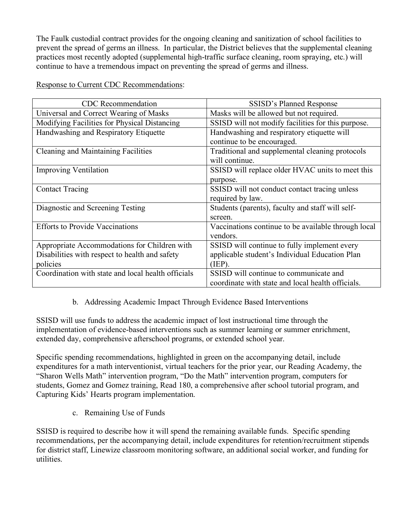The Faulk custodial contract provides for the ongoing cleaning and sanitization of school facilities to prevent the spread of germs an illness. In particular, the District believes that the supplemental cleaning practices most recently adopted (supplemental high-traffic surface cleaning, room spraying, etc.) will continue to have a tremendous impact on preventing the spread of germs and illness.

| <b>CDC</b> Recommendation                          | SSISD's Planned Response                            |  |
|----------------------------------------------------|-----------------------------------------------------|--|
| Universal and Correct Wearing of Masks             | Masks will be allowed but not required.             |  |
| Modifying Facilities for Physical Distancing       | SSISD will not modify facilities for this purpose.  |  |
| Handwashing and Respiratory Etiquette              | Handwashing and respiratory etiquette will          |  |
|                                                    | continue to be encouraged.                          |  |
| <b>Cleaning and Maintaining Facilities</b>         | Traditional and supplemental cleaning protocols     |  |
|                                                    | will continue.                                      |  |
| <b>Improving Ventilation</b>                       | SSISD will replace older HVAC units to meet this    |  |
|                                                    | purpose.                                            |  |
| <b>Contact Tracing</b>                             | SSISD will not conduct contact tracing unless       |  |
|                                                    | required by law.                                    |  |
| Diagnostic and Screening Testing                   | Students (parents), faculty and staff will self-    |  |
|                                                    | screen.                                             |  |
| <b>Efforts to Provide Vaccinations</b>             | Vaccinations continue to be available through local |  |
|                                                    | vendors.                                            |  |
| Appropriate Accommodations for Children with       | SSISD will continue to fully implement every        |  |
| Disabilities with respect to health and safety     | applicable student's Individual Education Plan      |  |
| policies                                           | (IEP).                                              |  |
| Coordination with state and local health officials | SSISD will continue to communicate and              |  |
|                                                    | coordinate with state and local health officials.   |  |

Response to Current CDC Recommendations:

## b. Addressing Academic Impact Through Evidence Based Interventions

SSISD will use funds to address the academic impact of lost instructional time through the implementation of evidence-based interventions such as summer learning or summer enrichment, extended day, comprehensive afterschool programs, or extended school year.

Specific spending recommendations, highlighted in green on the accompanying detail, include expenditures for a math interventionist, virtual teachers for the prior year, our Reading Academy, the "Sharon Wells Math" intervention program, "Do the Math" intervention program, computers for students, Gomez and Gomez training, Read 180, a comprehensive after school tutorial program, and Capturing Kids' Hearts program implementation.

c. Remaining Use of Funds

SSISD is required to describe how it will spend the remaining available funds. Specific spending recommendations, per the accompanying detail, include expenditures for retention/recruitment stipends for district staff, Linewize classroom monitoring software, an additional social worker, and funding for utilities.